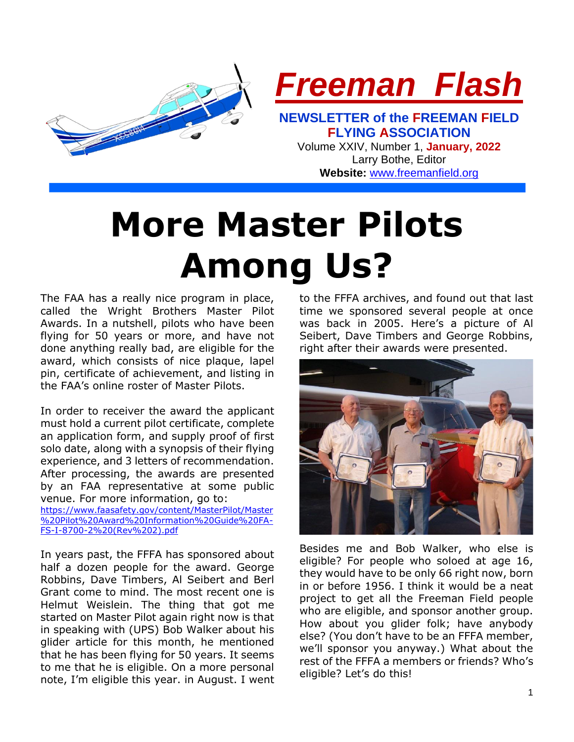

**Website:** [www.freemanfield.org](http://www.freemanfield.org/)

# **More Master Pilots Among Us?**

The FAA has a really nice program in place, called the Wright Brothers Master Pilot Awards. In a nutshell, pilots who have been flying for 50 years or more, and have not done anything really bad, are eligible for the award, which consists of nice plaque, lapel pin, certificate of achievement, and listing in the FAA's online roster of Master Pilots.

In order to receiver the award the applicant must hold a current pilot certificate, complete an application form, and supply proof of first solo date, along with a synopsis of their flying experience, and 3 letters of recommendation. After processing, the awards are presented by an FAA representative at some public venue. For more information, go to:

[https://www.faasafety.gov/content/MasterPilot/Master](https://www.faasafety.gov/content/MasterPilot/Master%20Pilot%20Award%20Information%20Guide%20FA-FS-I-8700-2%20(Rev%202).pdf) [%20Pilot%20Award%20Information%20Guide%20FA-](https://www.faasafety.gov/content/MasterPilot/Master%20Pilot%20Award%20Information%20Guide%20FA-FS-I-8700-2%20(Rev%202).pdf)[FS-I-8700-2%20\(Rev%202\).pdf](https://www.faasafety.gov/content/MasterPilot/Master%20Pilot%20Award%20Information%20Guide%20FA-FS-I-8700-2%20(Rev%202).pdf)

In years past, the FFFA has sponsored about half a dozen people for the award. George Robbins, Dave Timbers, Al Seibert and Berl Grant come to mind. The most recent one is Helmut Weislein. The thing that got me started on Master Pilot again right now is that in speaking with (UPS) Bob Walker about his glider article for this month, he mentioned that he has been flying for 50 years. It seems to me that he is eligible. On a more personal note, I'm eligible this year. in August. I went to the FFFA archives, and found out that last time we sponsored several people at once was back in 2005. Here's a picture of Al Seibert, Dave Timbers and George Robbins, right after their awards were presented.



Besides me and Bob Walker, who else is eligible? For people who soloed at age 16, they would have to be only 66 right now, born in or before 1956. I think it would be a neat project to get all the Freeman Field people who are eligible, and sponsor another group. How about you glider folk; have anybody else? (You don't have to be an FFFA member, we'll sponsor you anyway.) What about the rest of the FFFA a members or friends? Who's eligible? Let's do this!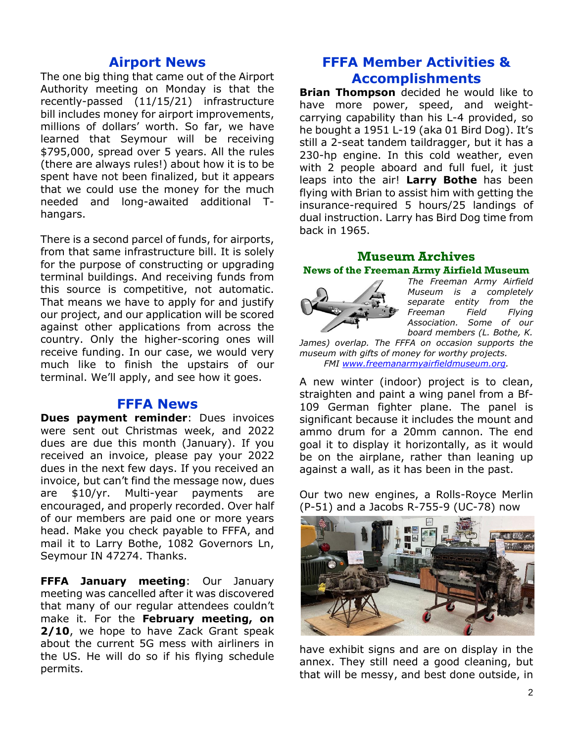## **Airport News**

The one big thing that came out of the Airport Authority meeting on Monday is that the recently-passed (11/15/21) infrastructure bill includes money for airport improvements, millions of dollars' worth. So far, we have learned that Seymour will be receiving \$795,000, spread over 5 years. All the rules (there are always rules!) about how it is to be spent have not been finalized, but it appears that we could use the money for the much needed and long-awaited additional Thangars.

There is a second parcel of funds, for airports, from that same infrastructure bill. It is solely for the purpose of constructing or upgrading terminal buildings. And receiving funds from this source is competitive, not automatic. That means we have to apply for and justify our project, and our application will be scored against other applications from across the country. Only the higher-scoring ones will receive funding. In our case, we would very much like to finish the upstairs of our terminal. We'll apply, and see how it goes.

## **FFFA News**

**Dues payment reminder:** Dues invoices were sent out Christmas week, and 2022 dues are due this month (January). If you received an invoice, please pay your 2022 dues in the next few days. If you received an invoice, but can't find the message now, dues are \$10/yr. Multi-year payments are encouraged, and properly recorded. Over half of our members are paid one or more years head. Make you check payable to FFFA, and mail it to Larry Bothe, 1082 Governors Ln, Seymour IN 47274. Thanks.

**FFFA January meeting**: Our January meeting was cancelled after it was discovered that many of our regular attendees couldn't make it. For the **February meeting, on 2/10**, we hope to have Zack Grant speak about the current 5G mess with airliners in the US. He will do so if his flying schedule permits.

## **FFFA Member Activities & Accomplishments**

**Brian Thompson** decided he would like to have more power, speed, and weightcarrying capability than his L-4 provided, so he bought a 1951 L-19 (aka 01 Bird Dog). It's still a 2-seat tandem taildragger, but it has a 230-hp engine. In this cold weather, even with 2 people aboard and full fuel, it just leaps into the air! **Larry Bothe** has been flying with Brian to assist him with getting the insurance-required 5 hours/25 landings of dual instruction. Larry has Bird Dog time from back in 1965.

## **Museum Archives News of the Freeman Army Airfield Museum**



*The Freeman Army Airfield Museum is a completely separate entity from the Freeman Field Flying Association. Some of our board members (L. Bothe, K.* 

*James) overlap. The FFFA on occasion supports the museum with gifts of money for worthy projects. FMI [www.freemanarmyairfieldmuseum.org.](http://www.freemanarmyairfieldmuseum.org/)*

A new winter (indoor) project is to clean, straighten and paint a wing panel from a Bf-109 German fighter plane. The panel is significant because it includes the mount and ammo drum for a 20mm cannon. The end goal it to display it horizontally, as it would be on the airplane, rather than leaning up against a wall, as it has been in the past.

Our two new engines, a Rolls-Royce Merlin (P-51) and a Jacobs R-755-9 (UC-78) now



have exhibit signs and are on display in the annex. They still need a good cleaning, but that will be messy, and best done outside, in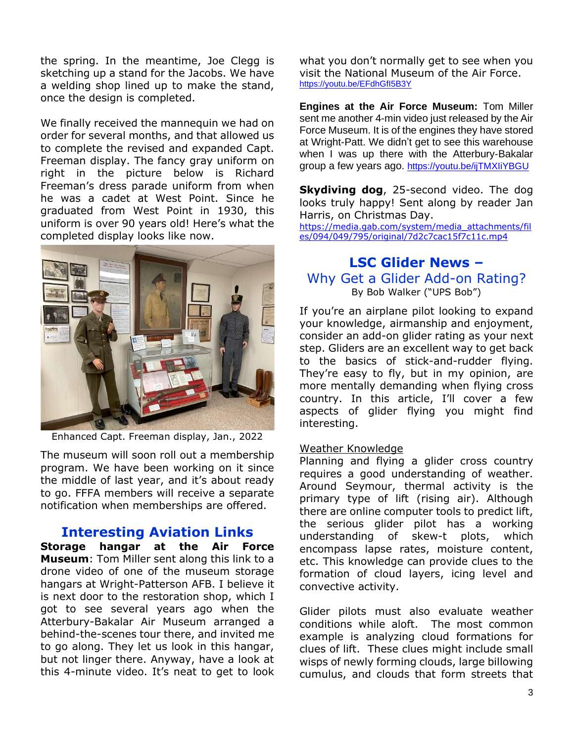the spring. In the meantime, Joe Clegg is sketching up a stand for the Jacobs. We have a welding shop lined up to make the stand, once the design is completed.

We finally received the mannequin we had on order for several months, and that allowed us to complete the revised and expanded Capt. Freeman display. The fancy gray uniform on right in the picture below is Richard Freeman's dress parade uniform from when he was a cadet at West Point. Since he graduated from West Point in 1930, this uniform is over 90 years old! Here's what the completed display looks like now.



Enhanced Capt. Freeman display, Jan., 2022

The museum will soon roll out a membership program. We have been working on it since the middle of last year, and it's about ready to go. FFFA members will receive a separate notification when memberships are offered.

## **Interesting Aviation Links**

**Storage hangar at the Air Force Museum**: Tom Miller sent along this link to a drone video of one of the museum storage hangars at Wright-Patterson AFB. I believe it is next door to the restoration shop, which I got to see several years ago when the Atterbury-Bakalar Air Museum arranged a behind-the-scenes tour there, and invited me to go along. They let us look in this hangar, but not linger there. Anyway, have a look at this 4-minute video. It's neat to get to look

what you don't normally get to see when you visit the National Museum of the Air Force. <https://youtu.be/EFdhGfI5B3Y>

**Engines at the Air Force Museum:** Tom Miller sent me another 4-min video just released by the Air Force Museum. It is of the engines they have stored at Wright-Patt. We didn't get to see this warehouse when I was up there with the Atterbury-Bakalar group a few years ago. <https://youtu.be/ijTMXIiYBGU>

**Skydiving dog**, 25-second video. The dog looks truly happy! Sent along by reader Jan Harris, on Christmas Day.

[https://media.gab.com/system/media\\_attachments/fil](https://media.gab.com/system/media_attachments/files/094/049/795/original/7d2c7cac15f7c11c.mp4) [es/094/049/795/original/7d2c7cac15f7c11c.mp4](https://media.gab.com/system/media_attachments/files/094/049/795/original/7d2c7cac15f7c11c.mp4)

## **LSC Glider News –** Why Get a Glider Add-on Rating? By Bob Walker ("UPS Bob")

If you're an airplane pilot looking to expand your knowledge, airmanship and enjoyment, consider an add-on glider rating as your next step. Gliders are an excellent way to get back to the basics of stick-and-rudder flying. They're easy to fly, but in my opinion, are more mentally demanding when flying cross country. In this article, I'll cover a few aspects of glider flying you might find interesting.

#### Weather Knowledge

Planning and flying a glider cross country requires a good understanding of weather. Around Seymour, thermal activity is the primary type of lift (rising air). Although there are online computer tools to predict lift, the serious glider pilot has a working understanding of skew-t plots, which encompass lapse rates, moisture content, etc. This knowledge can provide clues to the formation of cloud layers, icing level and convective activity.

Glider pilots must also evaluate weather conditions while aloft. The most common example is analyzing cloud formations for clues of lift. These clues might include small wisps of newly forming clouds, large billowing cumulus, and clouds that form streets that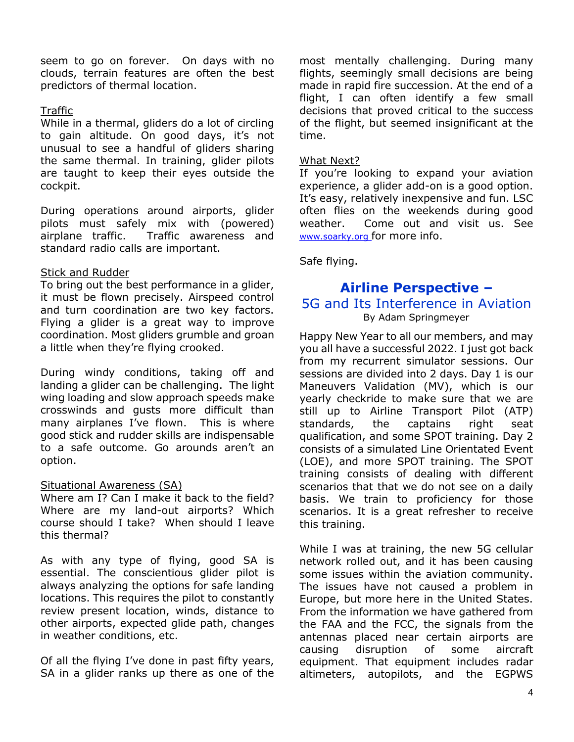seem to go on forever. On days with no clouds, terrain features are often the best predictors of thermal location.

#### **Traffic**

While in a thermal, gliders do a lot of circling to gain altitude. On good days, it's not unusual to see a handful of gliders sharing the same thermal. In training, glider pilots are taught to keep their eyes outside the cockpit.

During operations around airports, glider pilots must safely mix with (powered) airplane traffic. Traffic awareness and standard radio calls are important.

### Stick and Rudder

To bring out the best performance in a glider, it must be flown precisely. Airspeed control and turn coordination are two key factors. Flying a glider is a great way to improve coordination. Most gliders grumble and groan a little when they're flying crooked.

During windy conditions, taking off and landing a glider can be challenging. The light wing loading and slow approach speeds make crosswinds and gusts more difficult than many airplanes I've flown. This is where good stick and rudder skills are indispensable to a safe outcome. Go arounds aren't an option.

#### Situational Awareness (SA)

Where am I? Can I make it back to the field? Where are my land-out airports? Which course should I take? When should I leave this thermal?

As with any type of flying, good SA is essential. The conscientious glider pilot is always analyzing the options for safe landing locations. This requires the pilot to constantly review present location, winds, distance to other airports, expected glide path, changes in weather conditions, etc.

Of all the flying I've done in past fifty years, SA in a glider ranks up there as one of the

most mentally challenging. During many flights, seemingly small decisions are being made in rapid fire succession. At the end of a flight, I can often identify a few small decisions that proved critical to the success of the flight, but seemed insignificant at the time.

#### What Next?

If you're looking to expand your aviation experience, a glider add-on is a good option. It's easy, relatively inexpensive and fun. LSC often flies on the weekends during good weather. Come out and visit us. See [www.soarky.org](http://www.soarky.org/) for more info.

Safe flying.

## **Airline Perspective –**

## 5G and Its Interference in Aviation By Adam Springmeyer

Happy New Year to all our members, and may you all have a successful 2022. I just got back from my recurrent simulator sessions. Our sessions are divided into 2 days. Day 1 is our Maneuvers Validation (MV), which is our yearly checkride to make sure that we are still up to Airline Transport Pilot (ATP) standards, the captains right seat qualification, and some SPOT training. Day 2 consists of a simulated Line Orientated Event (LOE), and more SPOT training. The SPOT training consists of dealing with different scenarios that that we do not see on a daily basis. We train to proficiency for those scenarios. It is a great refresher to receive this training.

While I was at training, the new 5G cellular network rolled out, and it has been causing some issues within the aviation community. The issues have not caused a problem in Europe, but more here in the United States. From the information we have gathered from the FAA and the FCC, the signals from the antennas placed near certain airports are causing disruption of some aircraft equipment. That equipment includes radar altimeters, autopilots, and the EGPWS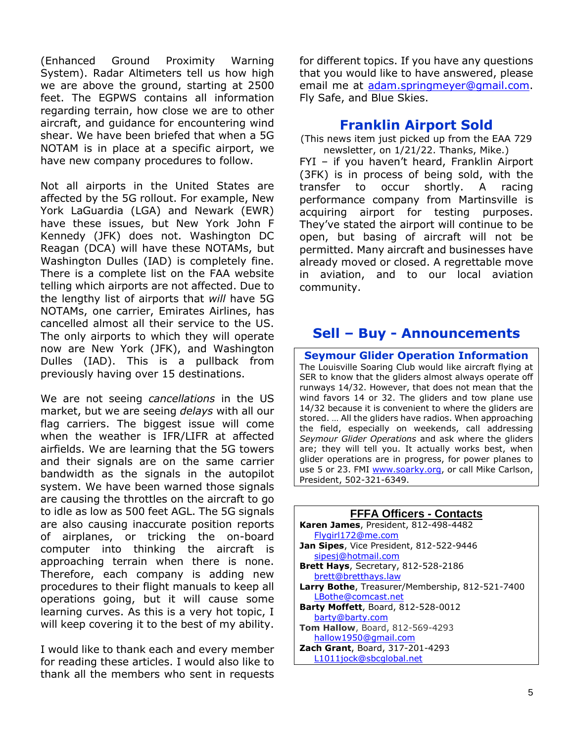(Enhanced Ground Proximity Warning System). Radar Altimeters tell us how high we are above the ground, starting at 2500 feet. The EGPWS contains all information regarding terrain, how close we are to other aircraft, and guidance for encountering wind shear. We have been briefed that when a 5G NOTAM is in place at a specific airport, we have new company procedures to follow.

Not all airports in the United States are affected by the 5G rollout. For example, New York LaGuardia (LGA) and Newark (EWR) have these issues, but New York John F Kennedy (JFK) does not. Washington DC Reagan (DCA) will have these NOTAMs, but Washington Dulles (IAD) is completely fine. There is a complete list on the FAA website telling which airports are not affected. Due to the lengthy list of airports that *will* have 5G NOTAMs, one carrier, Emirates Airlines, has cancelled almost all their service to the US. The only airports to which they will operate now are New York (JFK), and Washington Dulles (IAD). This is a pullback from previously having over 15 destinations.

We are not seeing *cancellations* in the US market, but we are seeing *delays* with all our flag carriers. The biggest issue will come when the weather is IFR/LIFR at affected airfields. We are learning that the 5G towers and their signals are on the same carrier bandwidth as the signals in the autopilot system. We have been warned those signals are causing the throttles on the aircraft to go to idle as low as 500 feet AGL. The 5G signals are also causing inaccurate position reports of airplanes, or tricking the on-board computer into thinking the aircraft is approaching terrain when there is none. Therefore, each company is adding new procedures to their flight manuals to keep all operations going, but it will cause some learning curves. As this is a very hot topic, I will keep covering it to the best of my ability.

I would like to thank each and every member for reading these articles. I would also like to thank all the members who sent in requests

for different topics. If you have any questions that you would like to have answered, please email me at [adam.springmeyer@gmail.com.](mailto:adam.springmeyer@gmail.com) Fly Safe, and Blue Skies.

## **Franklin Airport Sold**

(This news item just picked up from the EAA 729 newsletter, on 1/21/22. Thanks, Mike.)

FYI – if you haven't heard, Franklin Airport (3FK) is in process of being sold, with the transfer to occur shortly. A racing performance company from Martinsville is acquiring airport for testing purposes. They've stated the airport will continue to be open, but basing of aircraft will not be permitted. Many aircraft and businesses have already moved or closed. A regrettable move in aviation, and to our local aviation community.

## **Sell – Buy - Announcements**

**Seymour Glider Operation Information** The Louisville Soaring Club would like aircraft flying at SER to know that the gliders almost always operate off runways 14/32. However, that does not mean that the wind favors 14 or 32. The gliders and tow plane use 14/32 because it is convenient to where the gliders are stored. … All the gliders have radios. When approaching the field, especially on weekends, call addressing *Seymour Glider Operations* and ask where the gliders are; they will tell you. It actually works best, when glider operations are in progress, for power planes to use 5 or 23. FMI [www.soarky.org,](http://www.soarky.org/) or call Mike Carlson, President, 502-321-6349.

| <b>FFFA Officers - Contacts</b>                         |
|---------------------------------------------------------|
| <b>Karen James</b> , President, 812-498-4482            |
| Flygirl172@me.com                                       |
| Jan Sipes, Vice President, 812-522-9446                 |
| sipesi@hotmail.com                                      |
| <b>Brett Hays, Secretary, 812-528-2186</b>              |
| brett@bretthays.law                                     |
| <b>Larry Bothe</b> , Treasurer/Membership, 812-521-7400 |
| LBothe@comcast.net                                      |
| <b>Barty Moffett</b> , Board, 812-528-0012              |
| barty@barty.com                                         |
| <b>Tom Hallow, Board, 812-569-4293</b>                  |
| hallow1950@gmail.com                                    |
| Zach Grant, Board, 317-201-4293                         |
| L1011jock@sbcqlobal.net                                 |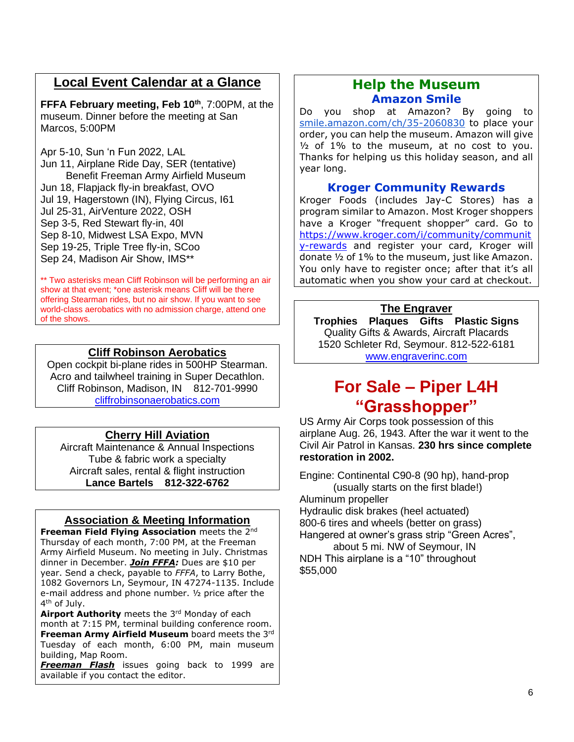## **Local Event Calendar at a Glance**

**FFFA February meeting, Feb 10th**, 7:00PM, at the museum. Dinner before the meeting at San Marcos, 5:00PM

Apr 5-10, Sun 'n Fun 2022, LAL Jun 11, Airplane Ride Day, SER (tentative) Benefit Freeman Army Airfield Museum Jun 18, Flapjack fly-in breakfast, OVO Jul 19, Hagerstown (IN), Flying Circus, I61 Jul 25-31, AirVenture 2022, OSH Sep 3-5, Red Stewart fly-in, 40I Sep 8-10, Midwest LSA Expo, MVN Sep 19-25, Triple Tree fly-in, SCoo Sep 24, Madison Air Show, IMS\*\*

\*\* Two asterisks mean Cliff Robinson will be performing an air show at that event; \*one asterisk means Cliff will be there offering Stearman rides, but no air show. If you want to see world-class aerobatics with no admission charge, attend one of the shows.

## **Cliff Robinson Aerobatics**

Open cockpit bi-plane rides in 500HP Stearman. Acro and tailwheel training in Super Decathlon. Cliff Robinson, Madison, IN 812-701-9990 [cliffrobinsonaerobatics.com](http://cliffrobinsonaerobatics.com/)

## **Cherry Hill Aviation**

Aircraft Maintenance & Annual Inspections Tube & fabric work a specialty Aircraft sales, rental & flight instruction **Lance Bartels 812-322-6762**

## **Association & Meeting Information**

**Freeman Field Flying Association** meets the 2nd Thursday of each month, 7:00 PM, at the Freeman Army Airfield Museum. No meeting in July. Christmas dinner in December. *Join FFFA:* Dues are \$10 per year. Send a check, payable to *FFFA*, to Larry Bothe, 1082 Governors Ln, Seymour, IN 47274-1135. Include e-mail address and phone number. ½ price after the 4<sup>th</sup> of July.

**Airport Authority** meets the 3rd Monday of each month at 7:15 PM, terminal building conference room. **Freeman Army Airfield Museum** board meets the 3rd Tuesday of each month, 6:00 PM, main museum building, Map Room.

*Freeman Flash* issues going back to 1999 are available if you contact the editor.

## **Help the Museum Amazon Smile**

Do you shop at Amazon? By going to [smile.amazon.com/ch/35-2060830](https://smile.amazon.com/gp/f.html?C=2G90H5KCIP85S&K=2VTXI0JVQ9P03&M=urn:rtn:msg:20200916150434fc881c11cab348d3a4f099162e20p0na&R=2UBM9H8M3BFTA&T=C&U=http%3A%2F%2FSMILE.AMAZON.COM%2Fch%2F35-2060830&H=CSZVRKAG4KHA6UFLZ5AQIJKTGP8A) to place your order, you can help the museum. Amazon will give  $1/2$  of 1% to the museum, at no cost to you. Thanks for helping us this holiday season, and all year long.

### **Kroger Community Rewards**

Kroger Foods (includes Jay-C Stores) has a program similar to Amazon. Most Kroger shoppers have a Kroger "frequent shopper" card. Go to [https://www.kroger.com/i/community/communit](https://www.kroger.com/i/community/community-rewards) [y-rewards](https://www.kroger.com/i/community/community-rewards) and register your card, Kroger will donate ½ of 1% to the museum, just like Amazon. You only have to register once; after that it's all automatic when you show your card at checkout.

#### **The Engraver**

**Trophies Plaques Gifts Plastic Signs** Quality Gifts & Awards, Aircraft Placards 1520 Schleter Rd, Seymour. 812-522-6181 [www.engraverinc.com](http://www.engraverinc.com/)

## **For Sale – Piper L4H "Grasshopper"**

US Army Air Corps took possession of this airplane Aug. 26, 1943. After the war it went to the Civil Air Patrol in Kansas. **230 hrs since complete restoration in 2002.**

Engine: Continental C90-8 (90 hp), hand-prop (usually starts on the first blade!) Aluminum propeller Hydraulic disk brakes (heel actuated) 800-6 tires and wheels (better on grass) Hangered at owner's grass strip "Green Acres", about 5 mi. NW of Seymour, IN NDH This airplane is a "10" throughout \$55,000